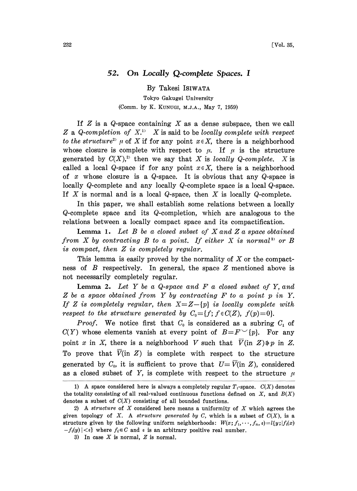## 52. On Locally Q.complete Spaces. <sup>I</sup>

By Takesi ISIWATA Tokyo Gakugei University (Comm. by K. KUNUGI, M.J.A., May 7, 1959)

If  $Z$  is a  $Q$ -space containing  $X$  as a dense subspace, then we call Z a Q-completion of  $X<sup>1</sup>$ . X is said to be locally complete with respect to the structure<sup>2</sup>  $\mu$  of X if for any point  $x \in X$ , there is a neighborhood whose closure is complete with respect to  $\mu$ . If  $\mu$  is the structure generated by  $C(X)$ ,<sup>2)</sup> then we say that X is locally Q-complete. X is called a local Q-space if for any point  $x \in X$ , there is a neighborhood of x whose closure is a  $Q$ -space. It is obvious that any  $Q$ -space is locally Q-complete and any locally Q-complete space is a local Q-space. If  $X$  is normal and is a local  $Q$ -space, then  $X$  is locally  $Q$ -complete.

In this paper, we shall establish some relations between a locally Q-complete space and its Q-completion, which are analogous to the relations between a locally compact space and its compactification.

**Lemma 1.** Let  $B$  be a closed subset of  $X$  and  $Z$  a space obtained from  $X$  by contracting  $B$  to a point. If either  $X$  is normal<sup>3</sup> or  $B$ is compact, then Z is completely regular.

This lemma is easily proved by the normality of  $X$  or the compactness of  $B$  respectively. In general, the space  $Z$  mentioned above is not necessarily completely regular.

**Lemma 2.** Let  $Y$  be a  $Q$ -space and  $F$  a closed subset of  $Y$ , and Z be <sup>a</sup> space obtained from Y by contracting F to <sup>a</sup> point <sup>p</sup> in Y. If Z is completely regular, then  $X = Z - \{p\}$  is locally complete with respect to the structure generated by  $C_0 = \{f; f \in C(Z), f(p)=0\}.$ 

*Proof.* We notice first that  $C_0$  is considered as a subring  $C_1$  of  $C(Y)$  whose elements vanish at every point of  $B=F^{\vee}(p)$ . For any point x in X, there is a neighborhood V such that  $\overline{V}$ (in  $Z$ ) $\Rightarrow$  p in Z. To prove that  $V(\text{in } Z)$  is complete with respect to the structure generated by  $C_0$ , it is sufficient to prove that  $U=\overline{V}$ (in Z), considered as a closed subset of Y, is complete with respect to the structure  $\mu$ 

<sup>1)</sup> A space considered here is always a completely regular  $T_1$ -space.  $C(X)$  denotes the totality consisting of all real-valued continuous functions defined on  $X$ , and  $B(X)$ denotes a subset of  $C(X)$  consisting of all bounded functions.

<sup>2)</sup> A structure of  $X$  considered here means a uniformity of  $X$  which agrees the given topology of X. A structure generated by C, which is a subset of  $C(X)$ , is a structure given by the following uniform neighborhoods:  $W(x; f_1, \dots, f_n, \varepsilon) = l(y; |f_i(x)|)$  $-f_i(y) \leq \varepsilon$  where  $f_i \in C$  and  $\varepsilon$  is an arbitrary positive real number.

<sup>3)</sup> In case  $X$  is normal,  $Z$  is normal.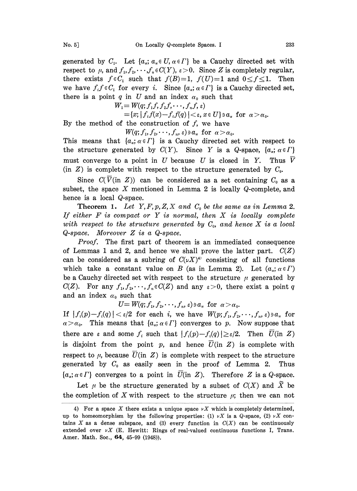generated by  $C_1$ . Let  $\{a_a; a_a \in U, a \in \Gamma\}$  be a Cauchy directed set with respect to  $\mu$ , and  $f_1, f_2, \dots, f_n \in C(Y)$ ,  $\varepsilon > 0$ . Since Z is completely regular, there exists  $f \in C_1$  such that  $f(B)=1$ ,  $f(U)=1$  and  $0 \le f \le 1$ . Then we have  $f_i f \in C_i$  for every i. Since  $\{a_{\alpha}; \alpha \in \Gamma\}$  is a Cauchy directed set, there is a point q in U and an index  $\alpha_0$  such that

$$
W_1 = W(q; f_1 f, f_2 f, \dots, f_n f, \varepsilon)
$$
  
= {x; | f<sub>i</sub> f(x) - f<sub>i</sub> f(q)| < \varepsilon, x \in U} a\_{\alpha} \text{ for } \alpha > \alpha\_0.

By the method of the construction of  $f$ , we have

$$
W(q; f_1, f_2, \cdots, f_n, \varepsilon) \ni a_\alpha \text{ for } \alpha > \alpha_0.
$$

This means that  $\{a_{\alpha}; \alpha \in \Gamma\}$  is a Cauchy directed set with respect to the structure generated by  $C(Y)$ . Since Y is a Q-space,  $\{a_{\alpha}; \alpha \in \Gamma\}$ must converge to a point in  $U$  because  $U$  is closed in  $Y$ . Thus  $V$ (in  $Z$ ) is complete with respect to the structure generated by  $C_0$ .

Since  $C(\overline{V}$ (in Z)) can be considered as a set containing  $C_0$  as a subset, the space  $X$  mentioned in Lemma 2 is locally  $Q$ -complete, and hence is a local Q-space.

**Theorem 1.** Let  $Y, F, p, Z, X$  and  $C_0$  be the same as in Lemma 2. If either  $F$  is compact or  $Y$  is normal, then  $X$  is locally complete with respect to the structure generated by  $C_0$ , and hence X is a local Q-space. Moreover Z is a Q-space.

Proof. The first part of theorem is an immediated consequence of Lemmas 1 and 2, and hence we shall prove the latter part.  $C(Z)$ can be considered as a subring of  $C(\nu X)^4$  consisting of all functions which take a constant value on B (as in Lemma 2). Let  $(a_{\alpha}; \alpha \in \Gamma)$ be a Cauchy directed set with respect to the structure  $\mu$  generated by  $C(Z)$ . For any  $f_1, f_2, \dots, f_n \in C(Z)$  and any  $\varepsilon > 0$ , there exist a point q and an index  $\alpha_0$  such that

 $U=W(q;f_1,f_2,\cdots,f_n,\varepsilon)\ni a_{\alpha}$  for  $\alpha>\alpha_0$ .

If  $|f_i(p)-f_i(q)| < \varepsilon/2$  for each i, we have  $W(p; f_1, f_2, \dots, f_n, \varepsilon) \ni a_{\alpha}$  for  $\alpha > \alpha_0$ . This means that  $\{a_{\alpha}; \alpha \in \Gamma\}$  converges to p. Now suppose that there are  $\varepsilon$  and some  $f_i$  such that  $|f_i(p)-f_i(q)| \geq \varepsilon/2$ . Then  $\overline{U}$ (in Z) is disjoint from the point p, and hence  $\overline{U}$ (in Z) is complete with respect to  $\mu$ , because  $\overline{U}$ (in Z) is complete with respect to the structure generated by  $C_0$  as easily seen in the proof of Lemma 2. Thus  $\{\alpha_{\alpha}; \alpha \in \Gamma\}$  converges to a point in U(in Z). Therefore Z is a Q-space.

Let  $\mu$  be the structure generated by a subset of  $C(X)$  and X be the completion of X with respect to the structure  $\mu$ ; then we can not

<sup>4)</sup> For a space X there exists a unique space  $\nu X$  which is completely determined, up to homeomorphism by the following properties: (1)  $\nu X$  is a Q-space, (2)  $\nu X$  contains X as a dense subspace, and (3) every function in  $C(X)$  can be continuously extended over  $\nu X$  (E. Hewitt: Rings of real-valued continuous functions I, Trans. Amer. Math. Soc., **64**, 45-99 (1948)).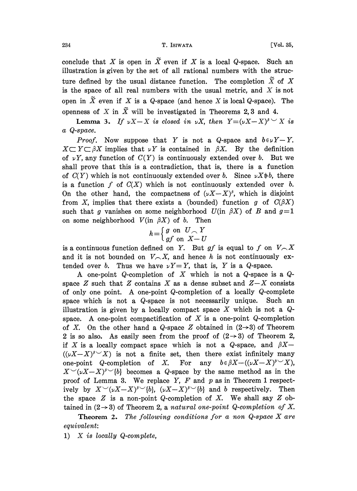## 234 T. ISWATA [Vol. 35,

conclude that X is open in  $\widetilde{X}$  even if X is a local Q-space. Such an illustration is given by the set of all rational numbers with the structure defined by the usual distance function. The completion  $\tilde{X}$  of X is the space of all real numbers with the usual metric, and  $X$  is not open in  $\widetilde{X}$  even if X is a Q-space (and hence X is local Q-space). The openness of X in  $\tilde{X}$  will be investigated in Theorems 2,3 and 4.

**Lemma 3.** If  $\nu X - X$  is closed in  $\nu X$ , then  $Y = (\nu X - X)^{\beta}$  is a Q-space.

*Proof.* Now suppose that Y is not a Q-space and  $b \in \nu Y - Y$ .  $X \subset Y \subset \beta X$  implies that  $\nu Y$  is contained in  $\beta X$ . By the definition of  $\nu Y$ , any function of  $C(Y)$  is continuously extended over b. But we shall prove that this is a contradiction, that is, there is a function of  $C(Y)$  which is not continuously extended over b. Since  $\nu X \oplus b$ , there is a function f of  $C(X)$  which is not continuously extended over b. On the other hand, the compactness of  $(\nu X-X)^{\beta}$ , which is disjoint from X, implies that there exists a (bounded) function g of  $C(\beta X)$ such that g vanishes on some neighborhood  $U$ (in  $\beta X$ ) of B and  $g=1$ on some neighborhood  $V(\text{in } \beta X)$  of b. Then<br>  $h = \begin{cases} g & \text{on } U \subset Y \end{cases}$ 

$$
h = \begin{cases} g & \text{on } U \frown Y \\ gf & \text{on } X - U \end{cases}
$$

is a continuous function defined on Y. But gf is equal to f on  $V \nightharpoonup X$ and it is not bounded on  $V_{\neg}(X)$ , and hence h is not continuously extended over b. Thus we have  $\nu Y=Y$ , that is, Y is a Q-space.

A one-point Q-completion of X which is not a Q-space is a  $Q$ space Z such that Z contains X as a dense subset and  $Z-X$  consists of only one point. A one-point Q-completion of <sup>a</sup> locally Q-complete space which is not a Q-space is not necessarily unique. Such an illustration is given by a locally compact space X which is not a  $Q$ space. A one-point compactification of  $X$  is a one-point  $Q$ -completion of X. On the other hand a Q-space Z obtained in  $(2\rightarrow 3)$  of Theorem 2 is so also. As easily seen from the proof of  $(2 \rightarrow 3)$  of Theorem 2, if X is a locally compact space which is not a Q-space, and  $\beta X$ - $((\nu X-X)^s\vee X)$  is not a finite set, then there exist infinitely many one-point Q-completion of X. For any  $b \in \beta X - ((\nu X - X)^{\beta} \vee X)$ ,  $X^{\vee}(\nu X-X)^{\beta}$  becomes a Q-space by the same method as in the proof of Lemma 3. We replace  $Y$ ,  $F$  and  $p$  as in Theorem 1 respectively by  $X^{\vee}(\nu X-X)^{\beta}$   $\check{b}$ ,  $(\nu X-X)^{\beta}$   $\check{b}$  and b respectively. Then the space  $Z$  is a non-point Q-completion of  $X$ . We shall say  $Z$  obtained in  $(2 \rightarrow 3)$  of Theorem 2, a natural one-point Q-completion of X.

Theorem 2. The following conditions for <sup>a</sup> non Q-space X are equivalent:

1) X is locally Q-complete,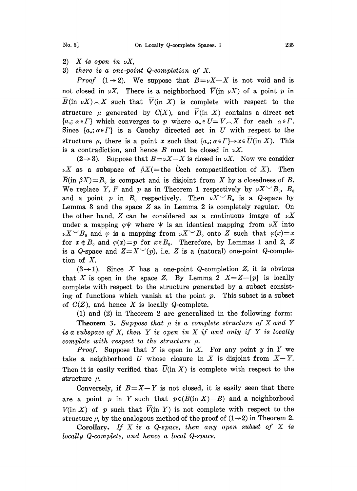- $2)$  X is open in  $\nu X$ ,
- 3) there is a one-point Q-completion of X.

*Proof*  $(1 \rightarrow 2)$ . We suppose that  $B=\nu X-X$  is not void and is not closed in  $\nu X$ . There is a neighborhood  $\overline{V}$ (in  $\nu X$ ) of a point p in  $\overline{B}$ (in  $\mathcal{X}\setminus\bigwedge X$  such that  $\overline{V}$ (in X) is complete with respect to the structure  $\mu$  generated by  $C(X)$ , and  $\overline{V}$ (in X) contains a direct set  $\{\alpha_{\alpha}; \alpha \in \Gamma\}$  which converges to p where  $\alpha_{\alpha} \in U = V \setminus X$  for each  $\alpha \in \Gamma$ . Since  $\{a_{\alpha}; \alpha \in \Gamma\}$  is a Cauchy directed set in U with respect to the structure  $\mu$ , there is a point x such that  $\{a_n; \alpha \in \Gamma\} \rightarrow x \in U$  (in X). This is a contradiction, and hence B must be closed in  $\nu X$ .

 $(2 \rightarrow 3)$ . Suppose that  $B=\nu X-X$  is closed in  $\nu X$ . Now we consider  $\nu X$  as a subspace of  $\beta X$  (= the Cech compactification of X). Then  $B(\text{in } \beta X)=B_0$  is compact and is disjoint from X by a closedness of B. We replace Y, F and p as in Theorem 1 respectively by  $\nu X \sim B_0$ ,  $B_0$ and a point p in  $B_0$  respectively. Then  $\nu X \sim B_0$  is a Q-space by Lemma 3 and the space  $Z$  as in Lemma 2 is completely regular. On the other hand, Z can be considered as a continuous image of  $\nu X$ under a mapping  $\varphi \psi$  where  $\psi$  is an identical mapping from  $\nu X$  into  $\nu X \sim B_0$  and  $\varphi$  is a mapping from  $\nu X \sim B_0$  onto Z such that  $\varphi(x)=x$ for  $x \notin B_0$  and  $\varphi(x)=p$  for  $x \in B_0$ . Therefore, by Lemmas 1 and 2, Z is a Q-space and  $Z=X^{\vee}(p)$ , i.e. Z is a (natural) one-point Q-completion of X.

 $(3\rightarrow 1)$ . Since X has a one-point Q-completion Z, it is obvious that X is open in the space Z. By Lemma 2  $X = Z - \{p\}$  is locally complete with respect to the structure generated by a subset consisting of functions which vanish at the point p. This subset is a subset of  $C(Z)$ , and hence X is locally Q-complete.

(1) and (2) in Theorem 2 are generalized in the following form:

**Theorem 3.** Suppose that  $\mu$  is a complete structure of X and Y is a subspace of X, then Y is open in X if and only if Y is locally complete with respect to the structure  $\mu$ .

*Proof.* Suppose that Y is open in X. For any point  $y$  in Y we take a neighborhood U whose closure in X is disjoint from  $X-Y$ . Then it is easily verified that  $\overline{U}$ (in X) is complete with respect to the structure  $\mu$ .

Conversely, if  $B=X-Y$  is not closed, it is easily seen that there are a point p in Y such that  $p \in (\overline{B}(\text{in } X) - B)$  and a neighborhood  $V(\text{in } X)$  of p such that  $\overline{V}(\text{in } Y)$  is not complete with respect to the structure  $\mu$ , by the analogous method of the proof of  $(1\rightarrow 2)$  in Theorem 2.

**Corollary.** If X is a Q-space, then any open subset of X is locally Q-complete, and hence a local Q-space.